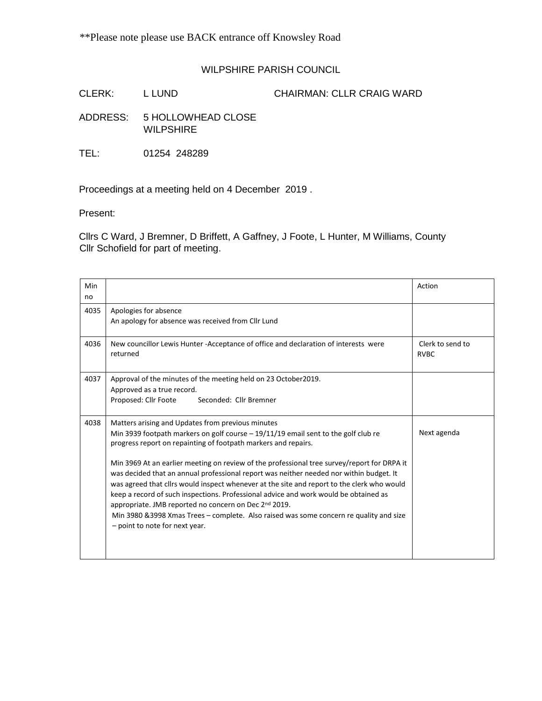## WILPSHIRE PARISH COUNCIL

CLERK: L LUND CHAIRMAN: CLLR CRAIG WARD

ADDRESS: 5 HOLLOWHEAD CLOSE WILPSHIRE

TEL: 01254 248289

Proceedings at a meeting held on 4 December 2019 .

Present:

Cllrs C Ward, J Bremner, D Briffett, A Gaffney, J Foote, L Hunter, M Williams, County Cllr Schofield for part of meeting.

| Min<br>no |                                                                                                                                                                                                                                                                                                                                                                                                                                                                                                                                                                                                                                                                                                                                                                                  | Action                          |
|-----------|----------------------------------------------------------------------------------------------------------------------------------------------------------------------------------------------------------------------------------------------------------------------------------------------------------------------------------------------------------------------------------------------------------------------------------------------------------------------------------------------------------------------------------------------------------------------------------------------------------------------------------------------------------------------------------------------------------------------------------------------------------------------------------|---------------------------------|
| 4035      | Apologies for absence<br>An apology for absence was received from Cllr Lund                                                                                                                                                                                                                                                                                                                                                                                                                                                                                                                                                                                                                                                                                                      |                                 |
| 4036      | New councillor Lewis Hunter -Acceptance of office and declaration of interests were<br>returned                                                                                                                                                                                                                                                                                                                                                                                                                                                                                                                                                                                                                                                                                  | Clerk to send to<br><b>RVBC</b> |
| 4037      | Approval of the minutes of the meeting held on 23 October2019.<br>Approved as a true record.<br>Seconded: Cllr Bremner<br>Proposed: Cllr Foote                                                                                                                                                                                                                                                                                                                                                                                                                                                                                                                                                                                                                                   |                                 |
| 4038      | Matters arising and Updates from previous minutes<br>Min 3939 footpath markers on golf course $-19/11/19$ email sent to the golf club re<br>progress report on repainting of footpath markers and repairs.<br>Min 3969 At an earlier meeting on review of the professional tree survey/report for DRPA it<br>was decided that an annual professional report was neither needed nor within budget. It<br>was agreed that clirs would inspect whenever at the site and report to the clerk who would<br>keep a record of such inspections. Professional advice and work would be obtained as<br>appropriate. JMB reported no concern on Dec 2nd 2019.<br>Min 3980 & 3998 Xmas Trees - complete. Also raised was some concern re quality and size<br>- point to note for next year. | Next agenda                     |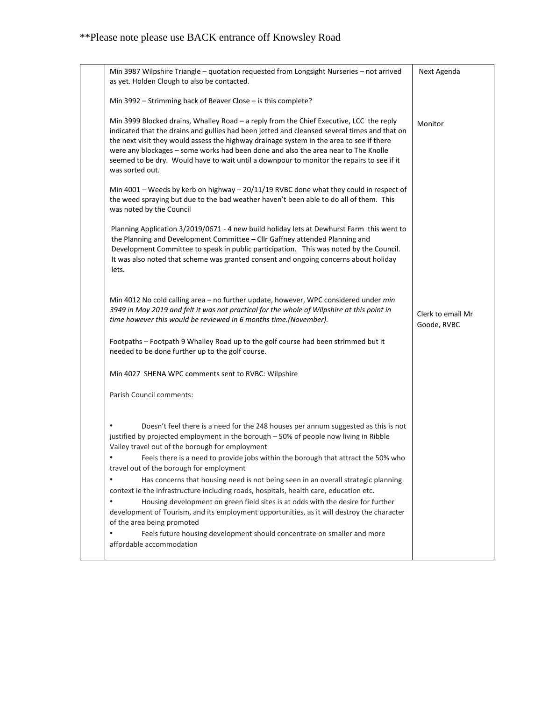| Min 3987 Wilpshire Triangle - quotation requested from Longsight Nurseries - not arrived<br>as yet. Holden Clough to also be contacted.                                                                                                                                                                                                                                                                                                                                                   | Next Agenda                      |
|-------------------------------------------------------------------------------------------------------------------------------------------------------------------------------------------------------------------------------------------------------------------------------------------------------------------------------------------------------------------------------------------------------------------------------------------------------------------------------------------|----------------------------------|
| Min 3992 - Strimming back of Beaver Close - is this complete?                                                                                                                                                                                                                                                                                                                                                                                                                             |                                  |
| Min 3999 Blocked drains, Whalley Road - a reply from the Chief Executive, LCC the reply<br>indicated that the drains and gullies had been jetted and cleansed several times and that on<br>the next visit they would assess the highway drainage system in the area to see if there<br>were any blockages - some works had been done and also the area near to The Knolle<br>seemed to be dry. Would have to wait until a downpour to monitor the repairs to see if it<br>was sorted out. | Monitor                          |
| Min 4001 - Weeds by kerb on highway - 20/11/19 RVBC done what they could in respect of<br>the weed spraying but due to the bad weather haven't been able to do all of them. This<br>was noted by the Council                                                                                                                                                                                                                                                                              |                                  |
| Planning Application 3/2019/0671 - 4 new build holiday lets at Dewhurst Farm this went to<br>the Planning and Development Committee - Cllr Gaffney attended Planning and<br>Development Committee to speak in public participation. This was noted by the Council.<br>It was also noted that scheme was granted consent and ongoing concerns about holiday<br>lets.                                                                                                                       |                                  |
| Min 4012 No cold calling area - no further update, however, WPC considered under min<br>3949 in May 2019 and felt it was not practical for the whole of Wilpshire at this point in<br>time however this would be reviewed in 6 months time.(November).                                                                                                                                                                                                                                    | Clerk to email Mr<br>Goode, RVBC |
| Footpaths - Footpath 9 Whalley Road up to the golf course had been strimmed but it<br>needed to be done further up to the golf course.                                                                                                                                                                                                                                                                                                                                                    |                                  |
| Min 4027 SHENA WPC comments sent to RVBC: Wilpshire                                                                                                                                                                                                                                                                                                                                                                                                                                       |                                  |
| Parish Council comments:                                                                                                                                                                                                                                                                                                                                                                                                                                                                  |                                  |
| Doesn't feel there is a need for the 248 houses per annum suggested as this is not<br>justified by projected employment in the borough - 50% of people now living in Ribble<br>Valley travel out of the borough for employment<br>Feels there is a need to provide jobs within the borough that attract the 50% who                                                                                                                                                                       |                                  |
| travel out of the borough for employment<br>$\bullet$<br>Has concerns that housing need is not being seen in an overall strategic planning                                                                                                                                                                                                                                                                                                                                                |                                  |
| context ie the infrastructure including roads, hospitals, health care, education etc.<br>$\bullet$<br>Housing development on green field sites is at odds with the desire for further                                                                                                                                                                                                                                                                                                     |                                  |
| development of Tourism, and its employment opportunities, as it will destroy the character<br>of the area being promoted                                                                                                                                                                                                                                                                                                                                                                  |                                  |
| $\bullet$<br>Feels future housing development should concentrate on smaller and more<br>affordable accommodation                                                                                                                                                                                                                                                                                                                                                                          |                                  |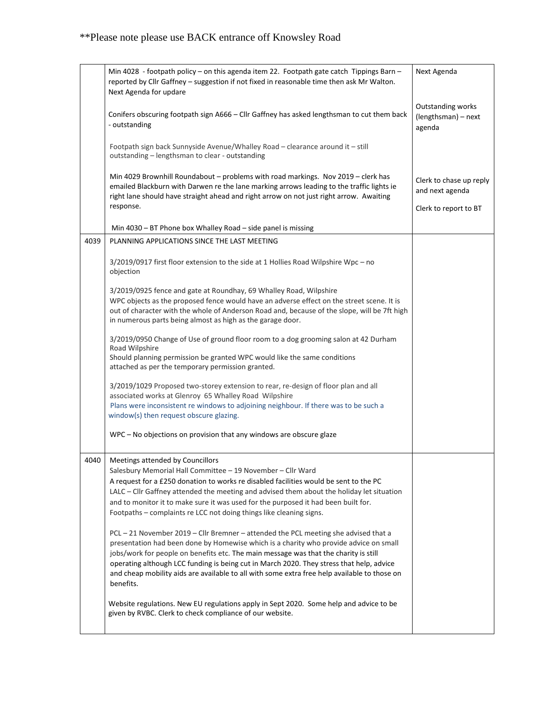|      | Min 4028 - footpath policy - on this agenda item 22. Footpath gate catch Tippings Barn -<br>reported by Cllr Gaffney - suggestion if not fixed in reasonable time then ask Mr Walton.<br>Next Agenda for updare                                                                                                                                                                        | Next Agenda                                        |
|------|----------------------------------------------------------------------------------------------------------------------------------------------------------------------------------------------------------------------------------------------------------------------------------------------------------------------------------------------------------------------------------------|----------------------------------------------------|
|      | Conifers obscuring footpath sign A666 - Cllr Gaffney has asked lengthsman to cut them back<br>- outstanding                                                                                                                                                                                                                                                                            | Outstanding works<br>(lengthsman) - next<br>agenda |
|      | Footpath sign back Sunnyside Avenue/Whalley Road - clearance around it - still<br>outstanding - lengthsman to clear - outstanding                                                                                                                                                                                                                                                      |                                                    |
|      | Min 4029 Brownhill Roundabout - problems with road markings. Nov 2019 - clerk has<br>emailed Blackburn with Darwen re the lane marking arrows leading to the traffic lights ie<br>right lane should have straight ahead and right arrow on not just right arrow. Awaiting                                                                                                              | Clerk to chase up reply<br>and next agenda         |
|      | response.                                                                                                                                                                                                                                                                                                                                                                              | Clerk to report to BT                              |
|      | Min 4030 - BT Phone box Whalley Road - side panel is missing                                                                                                                                                                                                                                                                                                                           |                                                    |
| 4039 | PLANNING APPLICATIONS SINCE THE LAST MEETING                                                                                                                                                                                                                                                                                                                                           |                                                    |
|      | 3/2019/0917 first floor extension to the side at 1 Hollies Road Wilpshire Wpc - no<br>objection                                                                                                                                                                                                                                                                                        |                                                    |
|      | 3/2019/0925 fence and gate at Roundhay, 69 Whalley Road, Wilpshire<br>WPC objects as the proposed fence would have an adverse effect on the street scene. It is<br>out of character with the whole of Anderson Road and, because of the slope, will be 7ft high                                                                                                                        |                                                    |
|      | in numerous parts being almost as high as the garage door.                                                                                                                                                                                                                                                                                                                             |                                                    |
|      | 3/2019/0950 Change of Use of ground floor room to a dog grooming salon at 42 Durham<br>Road Wilpshire<br>Should planning permission be granted WPC would like the same conditions                                                                                                                                                                                                      |                                                    |
|      | attached as per the temporary permission granted.                                                                                                                                                                                                                                                                                                                                      |                                                    |
|      | 3/2019/1029 Proposed two-storey extension to rear, re-design of floor plan and all<br>associated works at Glenroy 65 Whalley Road Wilpshire<br>Plans were inconsistent re windows to adjoining neighbour. If there was to be such a<br>window(s) then request obscure glazing.                                                                                                         |                                                    |
|      | WPC - No objections on provision that any windows are obscure glaze                                                                                                                                                                                                                                                                                                                    |                                                    |
| 4040 | Meetings attended by Councillors                                                                                                                                                                                                                                                                                                                                                       |                                                    |
|      | Salesbury Memorial Hall Committee - 19 November - Cllr Ward<br>A request for a £250 donation to works re disabled facilities would be sent to the PC                                                                                                                                                                                                                                   |                                                    |
|      | LALC - Cllr Gaffney attended the meeting and advised them about the holiday let situation                                                                                                                                                                                                                                                                                              |                                                    |
|      | and to monitor it to make sure it was used for the purposed it had been built for.<br>Footpaths - complaints re LCC not doing things like cleaning signs.                                                                                                                                                                                                                              |                                                    |
|      | PCL - 21 November 2019 - Cllr Bremner - attended the PCL meeting she advised that a                                                                                                                                                                                                                                                                                                    |                                                    |
|      | presentation had been done by Homewise which is a charity who provide advice on small<br>jobs/work for people on benefits etc. The main message was that the charity is still<br>operating although LCC funding is being cut in March 2020. They stress that help, advice<br>and cheap mobility aids are available to all with some extra free help available to those on<br>benefits. |                                                    |
|      | Website regulations. New EU regulations apply in Sept 2020. Some help and advice to be<br>given by RVBC. Clerk to check compliance of our website.                                                                                                                                                                                                                                     |                                                    |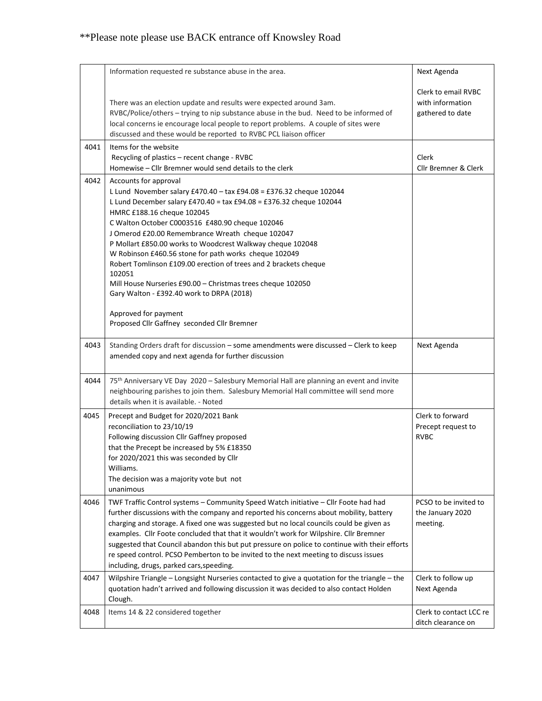|      | Information requested re substance abuse in the area.                                                                                                                                                                                                                                                                                                                                                                                                                                                                                                                                                                                             | Next Agenda                                                 |
|------|---------------------------------------------------------------------------------------------------------------------------------------------------------------------------------------------------------------------------------------------------------------------------------------------------------------------------------------------------------------------------------------------------------------------------------------------------------------------------------------------------------------------------------------------------------------------------------------------------------------------------------------------------|-------------------------------------------------------------|
|      | There was an election update and results were expected around 3am.<br>RVBC/Police/others - trying to nip substance abuse in the bud. Need to be informed of<br>local concerns ie encourage local people to report problems. A couple of sites were<br>discussed and these would be reported to RVBC PCL liaison officer                                                                                                                                                                                                                                                                                                                           | Clerk to email RVBC<br>with information<br>gathered to date |
| 4041 | Items for the website<br>Recycling of plastics - recent change - RVBC<br>Homewise - Cllr Bremner would send details to the clerk                                                                                                                                                                                                                                                                                                                                                                                                                                                                                                                  | Clerk<br>Cllr Bremner & Clerk                               |
| 4042 | Accounts for approval<br>L Lund November salary £470.40 - tax £94.08 = £376.32 cheque 102044<br>L Lund December salary £470.40 = tax £94.08 = £376.32 cheque 102044<br>HMRC £188.16 cheque 102045<br>C Walton October C0003516 £480.90 cheque 102046<br>J Omerod £20.00 Remembrance Wreath cheque 102047<br>P Mollart £850.00 works to Woodcrest Walkway cheque 102048<br>W Robinson £460.56 stone for path works cheque 102049<br>Robert Tomlinson £109.00 erection of trees and 2 brackets cheque<br>102051<br>Mill House Nurseries £90.00 - Christmas trees cheque 102050<br>Gary Walton - £392.40 work to DRPA (2018)<br>Approved for payment |                                                             |
|      | Proposed Cllr Gaffney seconded Cllr Bremner                                                                                                                                                                                                                                                                                                                                                                                                                                                                                                                                                                                                       |                                                             |
| 4043 | Standing Orders draft for discussion - some amendments were discussed - Clerk to keep<br>amended copy and next agenda for further discussion                                                                                                                                                                                                                                                                                                                                                                                                                                                                                                      | Next Agenda                                                 |
| 4044 | 75 <sup>th</sup> Anniversary VE Day 2020 - Salesbury Memorial Hall are planning an event and invite<br>neighbouring parishes to join them. Salesbury Memorial Hall committee will send more<br>details when it is available. - Noted                                                                                                                                                                                                                                                                                                                                                                                                              |                                                             |
| 4045 | Precept and Budget for 2020/2021 Bank<br>reconciliation to 23/10/19<br>Following discussion Cllr Gaffney proposed<br>that the Precept be increased by 5% £18350<br>for 2020/2021 this was seconded by Cllr<br>Williams.<br>The decision was a majority vote but not<br>unanimous                                                                                                                                                                                                                                                                                                                                                                  | Clerk to forward<br>Precept request to<br><b>RVBC</b>       |
| 4046 | TWF Traffic Control systems - Community Speed Watch initiative - Cllr Foote had had<br>further discussions with the company and reported his concerns about mobility, battery<br>charging and storage. A fixed one was suggested but no local councils could be given as<br>examples. Cllr Foote concluded that that it wouldn't work for Wilpshire. Cllr Bremner<br>suggested that Council abandon this but put pressure on police to continue with their efforts<br>re speed control. PCSO Pemberton to be invited to the next meeting to discuss issues<br>including, drugs, parked cars, speeding.                                            | PCSO to be invited to<br>the January 2020<br>meeting.       |
| 4047 | Wilpshire Triangle - Longsight Nurseries contacted to give a quotation for the triangle - the<br>quotation hadn't arrived and following discussion it was decided to also contact Holden<br>Clough.                                                                                                                                                                                                                                                                                                                                                                                                                                               | Clerk to follow up<br>Next Agenda                           |
| 4048 | Items 14 & 22 considered together                                                                                                                                                                                                                                                                                                                                                                                                                                                                                                                                                                                                                 | Clerk to contact LCC re<br>ditch clearance on               |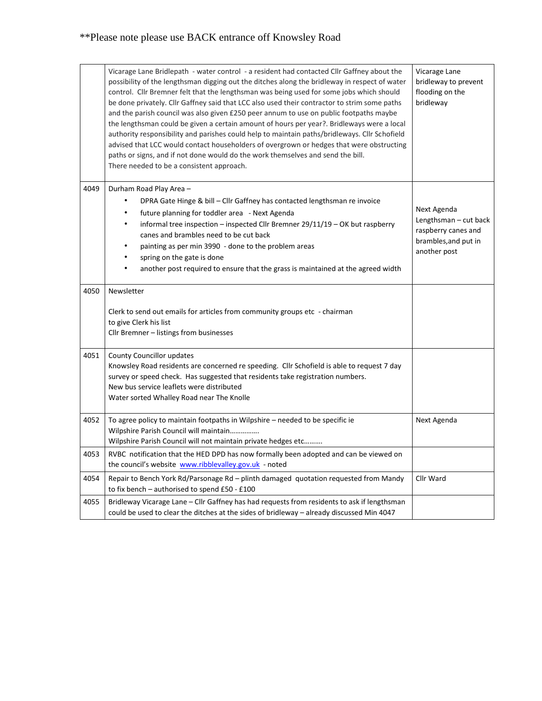|      | Vicarage Lane Bridlepath - water control - a resident had contacted Cllr Gaffney about the<br>possibility of the lengthsman digging out the ditches along the bridleway in respect of water<br>control. Cllr Bremner felt that the lengthsman was being used for some jobs which should<br>be done privately. Cllr Gaffney said that LCC also used their contractor to strim some paths<br>and the parish council was also given £250 peer annum to use on public footpaths maybe<br>the lengthsman could be given a certain amount of hours per year?. Bridleways were a local<br>authority responsibility and parishes could help to maintain paths/bridleways. Cllr Schofield<br>advised that LCC would contact householders of overgrown or hedges that were obstructing<br>paths or signs, and if not done would do the work themselves and send the bill.<br>There needed to be a consistent approach. | Vicarage Lane<br>bridleway to prevent<br>flooding on the<br>bridleway |
|------|--------------------------------------------------------------------------------------------------------------------------------------------------------------------------------------------------------------------------------------------------------------------------------------------------------------------------------------------------------------------------------------------------------------------------------------------------------------------------------------------------------------------------------------------------------------------------------------------------------------------------------------------------------------------------------------------------------------------------------------------------------------------------------------------------------------------------------------------------------------------------------------------------------------|-----------------------------------------------------------------------|
| 4049 | Durham Road Play Area -<br>DPRA Gate Hinge & bill - Cllr Gaffney has contacted lengthsman re invoice<br>٠                                                                                                                                                                                                                                                                                                                                                                                                                                                                                                                                                                                                                                                                                                                                                                                                    |                                                                       |
|      | future planning for toddler area - Next Agenda                                                                                                                                                                                                                                                                                                                                                                                                                                                                                                                                                                                                                                                                                                                                                                                                                                                               | Next Agenda                                                           |
|      | informal tree inspection – inspected Cllr Bremner $29/11/19$ – OK but raspberry<br>٠                                                                                                                                                                                                                                                                                                                                                                                                                                                                                                                                                                                                                                                                                                                                                                                                                         | Lengthsman - cut back<br>raspberry canes and                          |
|      | canes and brambles need to be cut back<br>painting as per min 3990 - done to the problem areas                                                                                                                                                                                                                                                                                                                                                                                                                                                                                                                                                                                                                                                                                                                                                                                                               | brambles, and put in                                                  |
|      | spring on the gate is done<br>٠                                                                                                                                                                                                                                                                                                                                                                                                                                                                                                                                                                                                                                                                                                                                                                                                                                                                              | another post                                                          |
|      | another post required to ensure that the grass is maintained at the agreed width                                                                                                                                                                                                                                                                                                                                                                                                                                                                                                                                                                                                                                                                                                                                                                                                                             |                                                                       |
| 4050 | Newsletter                                                                                                                                                                                                                                                                                                                                                                                                                                                                                                                                                                                                                                                                                                                                                                                                                                                                                                   |                                                                       |
|      | Clerk to send out emails for articles from community groups etc - chairman                                                                                                                                                                                                                                                                                                                                                                                                                                                                                                                                                                                                                                                                                                                                                                                                                                   |                                                                       |
|      | to give Clerk his list                                                                                                                                                                                                                                                                                                                                                                                                                                                                                                                                                                                                                                                                                                                                                                                                                                                                                       |                                                                       |
|      | Cllr Bremner - listings from businesses                                                                                                                                                                                                                                                                                                                                                                                                                                                                                                                                                                                                                                                                                                                                                                                                                                                                      |                                                                       |
| 4051 | <b>County Councillor updates</b>                                                                                                                                                                                                                                                                                                                                                                                                                                                                                                                                                                                                                                                                                                                                                                                                                                                                             |                                                                       |
|      | Knowsley Road residents are concerned re speeding. Cllr Schofield is able to request 7 day<br>survey or speed check. Has suggested that residents take registration numbers.                                                                                                                                                                                                                                                                                                                                                                                                                                                                                                                                                                                                                                                                                                                                 |                                                                       |
|      | New bus service leaflets were distributed                                                                                                                                                                                                                                                                                                                                                                                                                                                                                                                                                                                                                                                                                                                                                                                                                                                                    |                                                                       |
|      | Water sorted Whalley Road near The Knolle                                                                                                                                                                                                                                                                                                                                                                                                                                                                                                                                                                                                                                                                                                                                                                                                                                                                    |                                                                       |
| 4052 | To agree policy to maintain footpaths in Wilpshire - needed to be specific ie                                                                                                                                                                                                                                                                                                                                                                                                                                                                                                                                                                                                                                                                                                                                                                                                                                | Next Agenda                                                           |
|      | Wilpshire Parish Council will maintain<br>Wilpshire Parish Council will not maintain private hedges etc                                                                                                                                                                                                                                                                                                                                                                                                                                                                                                                                                                                                                                                                                                                                                                                                      |                                                                       |
| 4053 | RVBC notification that the HED DPD has now formally been adopted and can be viewed on<br>the council's website www.ribblevalley.gov.uk - noted                                                                                                                                                                                                                                                                                                                                                                                                                                                                                                                                                                                                                                                                                                                                                               |                                                                       |
| 4054 | Repair to Bench York Rd/Parsonage Rd - plinth damaged quotation requested from Mandy<br>to fix bench - authorised to spend £50 - £100                                                                                                                                                                                                                                                                                                                                                                                                                                                                                                                                                                                                                                                                                                                                                                        | Cllr Ward                                                             |
| 4055 | Bridleway Vicarage Lane - Cllr Gaffney has had requests from residents to ask if lengthsman<br>could be used to clear the ditches at the sides of bridleway - already discussed Min 4047                                                                                                                                                                                                                                                                                                                                                                                                                                                                                                                                                                                                                                                                                                                     |                                                                       |